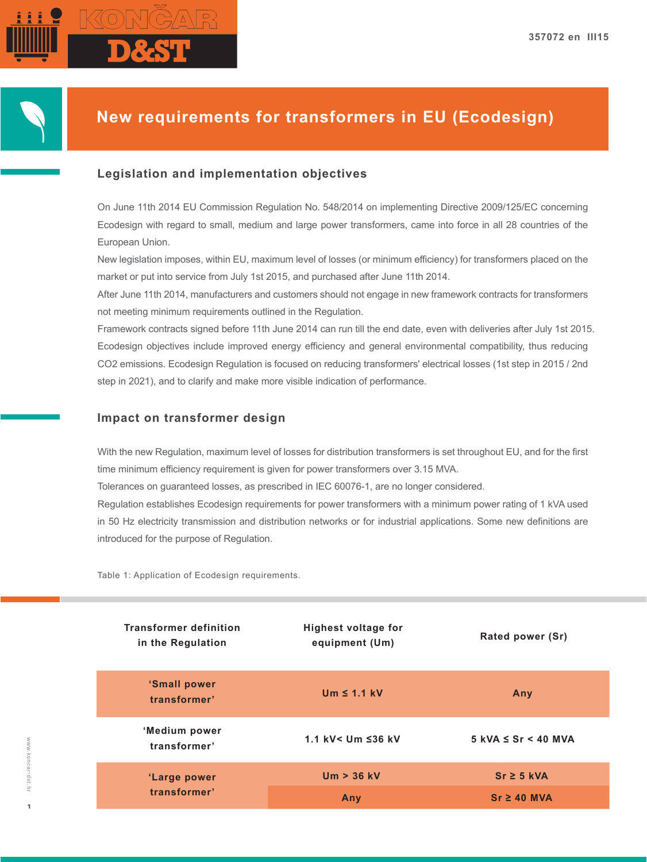

# **New requirements for transformers in EU (Ecodesign)**

## **Legislation and implementation objectives**

On June 11th 2014 EU Commission Regulation No. 548/2014 on implementing Directive 2009/125/EC concerning Ecodesign with regard to small, medium and large power transformers, came into force in all 28 countries of the European Union.

New legislation imposes, within EU, maximum level of losses (or minimum efficiency) for transformers placed on the market or put into service from July 1st 2015, and purchased after June 11th 2014.

After June 11th 2014, manufacturers and customers should not engage in new framework contracts for transformers not meeting minimum requirements outlined in the Regulation.

Framework contracts signed before 11th June 2014 can run till the end date, even with deliveries after July 1st 2015. Ecodesign objectives include improved energy efficiency and general environmental compatibility, thus reducing CO2 emissions. Ecodesign Regulation is focused on reducing transformers' electrical losses (1st step in 2015 / 2nd step in 2021), and to clarify and make more visible indication of performance.

### **Impact on transformer design**

With the new Regulation, maximum level of losses for distribution transformers is set throughout EU, and for the first time minimum efficiency requirement is given for power transformers over 3.15 MVA.

Tolerances on guaranteed losses, as prescribed in IEC 60076-1, are no longer considered.

Regulation establishes Ecodesign requirements for power transformers with a minimum power rating of 1 kVA used in 50 Hz electricity transmission and distribution networks or for industrial applications. Some new definitions are introduced for the purpose of Regulation.

Table 1: Application of Ecodesign requirements.

| <b>Transformer definition</b><br>in the Regulation | <b>Highest voltage for</b><br>equipment (Um) | Rated power (Sr)             |  |
|----------------------------------------------------|----------------------------------------------|------------------------------|--|
| 'Small power<br>transformer'                       | Um $\leq$ 1.1 kV                             | Any                          |  |
| 'Medium power<br>transformer'                      | 1.1 kV< $Um \leq 36$ kV                      | $5$ kVA $\leq$ Sr $<$ 40 MVA |  |
| 'Large power                                       | $Um > 36$ kV                                 | $Sr \geq 5$ kVA              |  |
| transformer'                                       | Any                                          | $Sr \geq 40$ MVA             |  |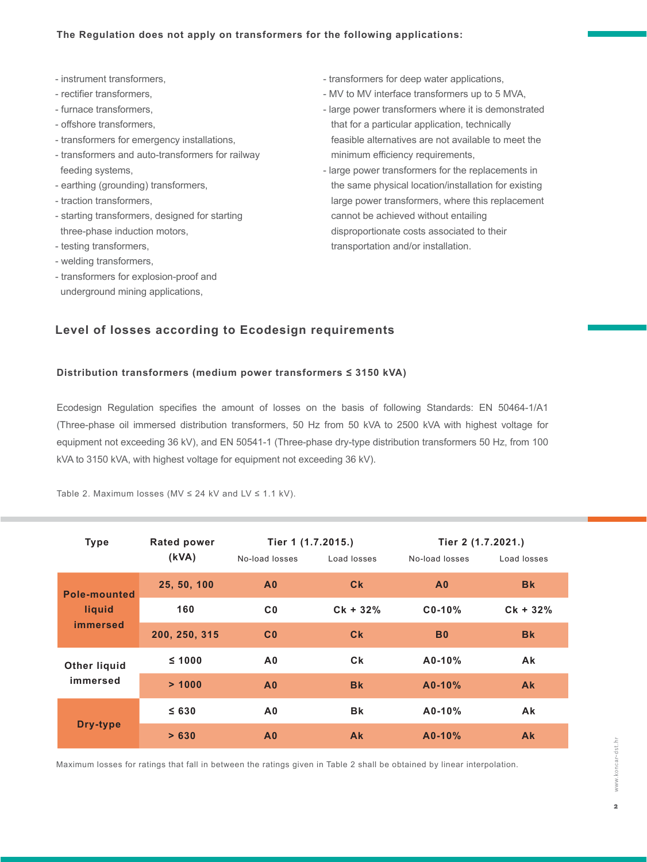- instrument transformers,
- rectifier transformers,
- furnace transformers,
- offshore transformers,
- transformers for emergency installations,
- transformers and auto-transformers for railway feeding systems,
- earthing (grounding) transformers,
- traction transformers,
- starting transformers, designed for starting three-phase induction motors,
- testing transformers,
- welding transformers,
- transformers for explosion-proof and underground mining applications,
- transformers for deep water applications,
- MV to MV interface transformers up to 5 MVA,
- large power transformers where it is demonstrated that for a particular application, technically feasible alternatives are not available to meet the minimum efficiency requirements.
- large power transformers for the replacements in the same physical location/installation for existing large power transformers, where this replacement cannot be achieved without entailing disproportionate costs associated to their transportation and/or installation.

## **Level of losses according to Ecodesign requirements**

#### **Distribution transformers (medium power transformers ≤ 3150 kVA)**

Ecodesign Regulation specifies the amount of losses on the basis of following Standards: EN 50464-1/A1 (Three-phase oil immersed distribution transformers, 50 Hz from 50 kVA to 2500 kVA with highest voltage for equipment not exceeding 36 kV), and EN 50541-1 (Three-phase dry-type distribution transformers 50 Hz, from 100 kVA to 3150 kVA, with highest voltage for equipment not exceeding 36 kV).

| <b>Type</b>                                      | <b>Rated power</b><br>(kVA) | Tier 1 (1.7.2015.) |                  | Tier 2 (1.7.2021.) |             |
|--------------------------------------------------|-----------------------------|--------------------|------------------|--------------------|-------------|
|                                                  |                             | No-load losses     | Load losses      | No-load losses     | Load losses |
| <b>Pole-mounted</b><br>liquid<br><i>immersed</i> | 25, 50, 100                 | A <sub>0</sub>     | C <sub>k</sub>   | A <sub>0</sub>     | <b>Bk</b>   |
|                                                  | 160                         | C <sub>0</sub>     | $CK + 32%$       | $C0-10$ %          | $CK + 32%$  |
|                                                  | 200, 250, 315               | C <sub>0</sub>     | $c_{\mathbf{k}}$ | <b>B0</b>          | <b>Bk</b>   |
| <b>Other liquid</b><br>immersed                  | $\leq 1000$                 | A <sub>0</sub>     | Ck               | $A0-10%$           | <b>Ak</b>   |
|                                                  | > 1000                      | A <sub>0</sub>     | <b>Bk</b>        | $A0-10%$           | <b>Ak</b>   |
| Dry-type                                         | $\leq 630$                  | A <sub>0</sub>     | <b>Bk</b>        | $A0-10%$           | Ak          |
|                                                  | > 630                       | A <sub>0</sub>     | <b>Ak</b>        | $A0-10%$           | <b>Ak</b>   |

Table 2. Maximum losses (MV  $\leq$  24 kV and LV  $\leq$  1.1 kV).

Maximum losses for ratings that fall in between the ratings given in Table 2 shall be obtained by linear interpolation.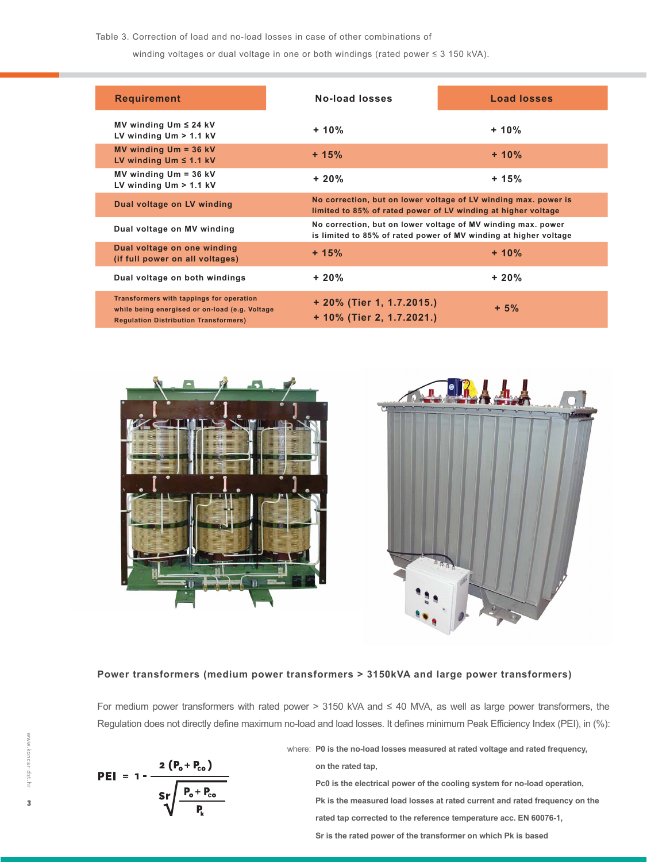Table 3. Correction of load and no-load losses in case of other combinations of

winding voltages or dual voltage in one or both windings (rated power ≤ 3 150 kVA).

| <b>Requirement</b>                                                                                                                         | No-load losses                                         | <b>Load losses</b>                                                                                                               |  |  |
|--------------------------------------------------------------------------------------------------------------------------------------------|--------------------------------------------------------|----------------------------------------------------------------------------------------------------------------------------------|--|--|
| MV winding $Um \leq 24$ kV<br>LV winding $Um > 1.1$ kV                                                                                     | $+10%$                                                 | $+10%$                                                                                                                           |  |  |
| MV winding $Um = 36 kV$<br>LV winding $Um \leq 1.1$ kV                                                                                     | $+15%$                                                 | $+10%$                                                                                                                           |  |  |
| MV winding $Um = 36 kV$<br>LV winding $Um > 1.1$ kV                                                                                        | $+20%$                                                 | + 15%                                                                                                                            |  |  |
| Dual voltage on LV winding                                                                                                                 |                                                        | No correction, but on lower voltage of LV winding max. power is<br>limited to 85% of rated power of LV winding at higher voltage |  |  |
| Dual voltage on MV winding                                                                                                                 |                                                        | No correction, but on lower voltage of MV winding max. power<br>is limited to 85% of rated power of MV winding at higher voltage |  |  |
| Dual voltage on one winding<br>(if full power on all voltages)                                                                             | $+15%$                                                 | $+10%$                                                                                                                           |  |  |
| Dual voltage on both windings                                                                                                              | $+20%$                                                 | $+20%$                                                                                                                           |  |  |
| Transformers with tappings for operation<br>while being energised or on-load (e.g. Voltage<br><b>Regulation Distribution Transformers)</b> | + 20% (Tier 1, 1.7.2015.)<br>+ 10% (Tier 2, 1.7.2021.) | $+5%$                                                                                                                            |  |  |





#### **Power transformers (medium power transformers > 3150kVA and large power transformers)**

For medium power transformers with rated power > 3150 kVA and ≤ 40 MVA, as well as large power transformers, the Regulation does not directly define maximum no-load and load losses. It defines minimum Peak Efficiency Index (PEI), in (%):

$$
PEI = 1 - \frac{2 (P_o + P_{co})}{Sr \sqrt{\frac{P_o + P_{co}}{P_k}}}
$$

where: **P0 is the no-load losses measured at rated voltage and rated frequency,** 

 **on the rated tap, Pc0 is the electrical power of the cooling system for no-load operation, Pk is the measured load losses at rated current and rated frequency on the rated tap corrected to the reference temperature acc. EN 60076-1, Sr is the rated power of the transformer on which Pk is based**